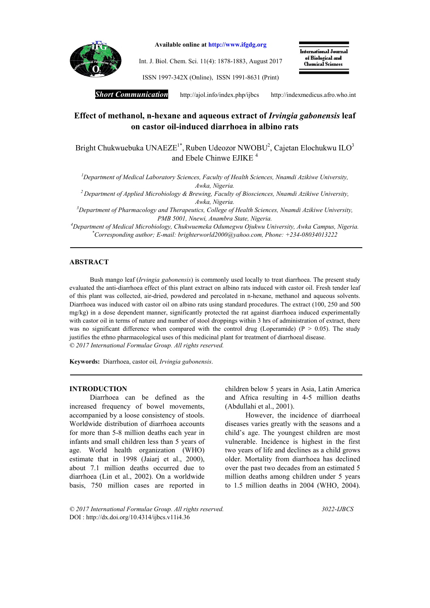

Available online at http://www.ifgdg.org

Int. J. Biol. Chem. Sci. 11(4): 1878-1883, August 2017

International Journal of Biological and **Chemical Sciences** 

ISSN 1997-342X (Online), ISSN 1991-8631 (Print)

*Short Communication* http://ajol.info/index.php/ijbcshttp://indexmedicus.afro.who.int

# Effect of methanol, n-hexane and aqueous extract of *Irvingia gabonensis* leaf on castor oil-induced diarrhoea in albino rats

Bright Chukwuebuka UNAEZE<sup>1\*</sup>, Ruben Udeozor NWOBU<sup>2</sup>, Cajetan Elochukwu ILO<sup>3</sup> and Ebele Chinwe EJIKE <sup>4</sup>

*1 Department of Medical Laboratory Sciences, Faculty of Health Sciences, Nnamdi Azikiwe University, Awka, Nigeria.*

*2 Department of Applied Microbiology & Brewing, Faculty of Biosciences, Nnamdi Azikiwe University, Awka, Nigeria.*

*3 Department of Pharmacology and Therapeutics, College of Health Sciences, Nnamdi Azikiwe University, PMB 5001, Nnewi, Anambra State, Nigeria.*

*4 Department of Medical Microbiology, Chukwuemeka Odumegwu Ojukwu University, Awka Campus, Nigeria. \* Corresponding author; E-mail: brighterworld2000@yahoo.com, Phone: +234-08034013222*

# ABSTRACT

Bush mango leaf (*Irvingia gabonensis*) is commonly used locally to treat diarrhoea. The present study evaluated the anti-diarrhoea effect of this plant extract on albino rats induced with castor oil. Fresh tender leaf of this plant was collected, air-dried, powdered and percolated in n-hexane, methanol and aqueous solvents. Diarrhoea was induced with castor oil on albino rats using standard procedures. The extract (100, 250 and 500 mg/kg) in a dose dependent manner, significantly protected the rat against diarrhoea induced experimentally with castor oil in terms of nature and number of stool droppings within 3 hrs of administration of extract, there was no significant difference when compared with the control drug (Loperamide) ( $P > 0.05$ ). The study justifies the ethno pharmacological uses of this medicinal plant for treatment of diarrhoeal disease. *© 2017 International Formulae Group. All rights reserved.*

Keywords: Diarrhoea, castor oil*, Irvingia gabonensis*.

#### INTRODUCTION

Diarrhoea can be defined as the increased frequency of bowel movements, accompanied by a loose consistency of stools. Worldwide distribution of diarrhoea accounts for more than 5-8 million deaths each year in infants and small children less than 5 years of age. World health organization (WHO) estimate that in 1998 (Jaiarj et al., 2000), about 7.1 million deaths occurred due to diarrhoea (Lin et al., 2002). On a worldwide basis, 750 million cases are reported in children below 5 years in Asia, Latin America and Africa resulting in 4-5 million deaths (Abdullahi et al., 2001).

However, the incidence of diarrhoeal diseases varies greatly with the seasons and a child's age. The youngest children are most vulnerable. Incidence is highest in the first two years of life and declines as a child grows older. Mortality from diarrhoea has declined over the past two decades from an estimated 5 million deaths among children under 5 years to 1.5 million deaths in 2004 (WHO, 2004).

*© 2017 International Formulae Group. All rights reserved. 3022-IJBCS* DOI : http://dx.doi.org/10.4314/ijbcs.v11i4.36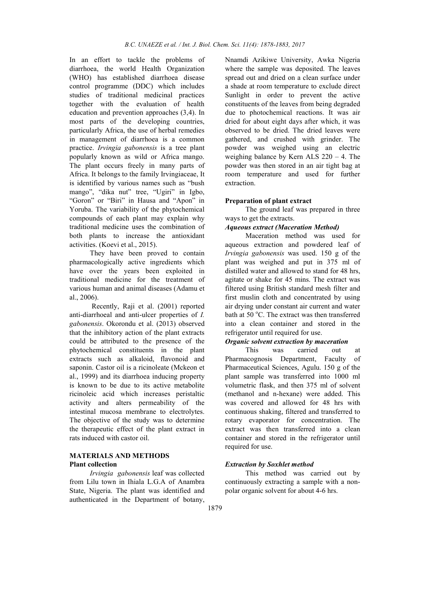In an effort to tackle the problems of diarrhoea, the world Health Organization (WHO) has established diarrhoea disease control programme (DDC) which includes studies of traditional medicinal practices together with the evaluation of health education and prevention approaches (3,4). In most parts of the developing countries, particularly Africa, the use of herbal remedies in management of diarrhoea is a common practice. *Irvingia gabonensis* is a tree plant popularly known as wild or Africa mango. The plant occurs freely in many parts of Africa. It belongs to the family Irvingiaceae, It is identified by various names such as "bush mango", "dika nut" tree, "Ugiri" in Igbo, "Goron" or "Biri" in Hausa and "Apon" in Yoruba. The variability of the phytochemical compounds of each plant may explain why traditional medicine uses the combination of both plants to increase the antioxidant activities. (Koevi et al., 2015).

They have been proved to contain pharmacologically active ingredients which have over the years been exploited in traditional medicine for the treatment of various human and animal diseases (Adamu et al., 2006).

Recently, Raji et al. (2001) reported anti-diarrhoeal and anti-ulcer properties of *I. gabonensis*. Okorondu et al. (2013) observed that the inhibitory action of the plant extracts could be attributed to the presence of the phytochemical constituents in the plant extracts such as alkaloid, flavonoid and saponin. Castor oil is a ricinoleate (Mckeon et al., 1999) and its diarrhoea inducing property is known to be due to its active metabolite ricinoleic acid which increases peristaltic activity and alters permeability of the intestinal mucosa membrane to electrolytes. The objective of the study was to determine the therapeutic effect of the plant extract in rats induced with castor oil.

# MATERIALS AND METHODS Plant collection

*Irvingia gabonensis* leaf was collected from Lilu town in Ihiala L.G.A of Anambra State, Nigeria. The plant was identified and authenticated in the Department of botany,

Nnamdi Azikiwe University, Awka Nigeria where the sample was deposited. The leaves spread out and dried on a clean surface under a shade at room temperature to exclude direct Sunlight in order to prevent the active constituents of the leaves from being degraded due to photochemical reactions. It was air dried for about eight days after which, it was observed to be dried. The dried leaves were gathered, and crushed with grinder. The powder was weighed using an electric weighing balance by Kern ALS 220 – 4. The powder was then stored in an air tight bag at room temperature and used for further extraction.

#### Preparation of plant extract

The ground leaf was prepared in three ways to get the extracts.

### *Aqueous extract (Maceration Method)*

Maceration method was used for aqueous extraction and powdered leaf of *Irvingia gabonensis* was used. 150 g of the plant was weighed and put in 375 ml of distilled water and allowed to stand for 48 hrs, agitate or shake for 45 mins. The extract was filtered using British standard mesh filter and first muslin cloth and concentrated by using air drying under constant air current and water bath at 50 °C. The extract was then transferred into a clean container and stored in the refrigerator until required for use.

# *Organic solvent extraction by maceration*

This was carried out at Pharmacognosis Department, Faculty of Pharmaceutical Sciences, Agulu. 150 g of the plant sample was transferred into 1000 ml volumetric flask, and then 375 ml of solvent (methanol and n-hexane) were added. This was covered and allowed for 48 hrs with continuous shaking, filtered and transferred to rotary evaporator for concentration. The extract was then transferred into a clean container and stored in the refrigerator until required for use.

## *Extraction by Soxhlet method*

This method was carried out by continuously extracting a sample with a nonpolar organic solvent for about 4-6 hrs.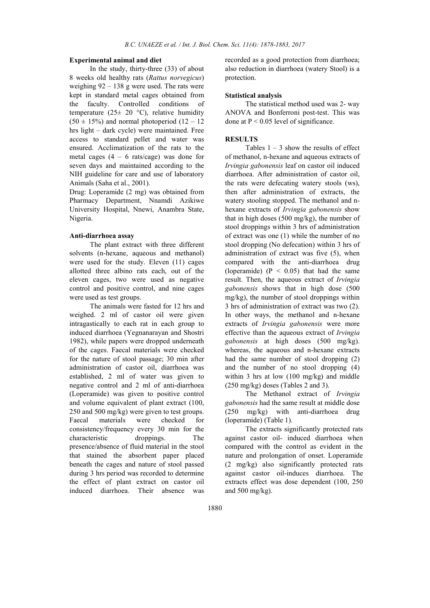## Experimental animal and diet

In the study, thirty-three (33) of about 8 weeks old healthy rats (*Rattus norvegicus*) weighing 92 – 138 g were used. The rats were kept in standard metal cages obtained from the faculty. Controlled conditions of temperature (25 $\pm$  20 °C), relative humidity  $(50 \pm 15\%)$  and normal photoperiod  $(12 - 12\%)$ hrs light – dark cycle) were maintained. Free access to standard pellet and water was ensured. Acclimatization of the rats to the metal cages  $(4 - 6 \text{ rats/cage})$  was done for seven days and maintained according to the NIH guideline for care and use of laboratory Animals (Saha et al., 2001).

Drug: Loperamide (2 mg) was obtained from Pharmacy Department, Nnamdi Azikiwe University Hospital, Nnewi, Anambra State, Nigeria.

# Anti-diarrhoea assay

The plant extract with three different solvents (n-hexane, aqueous and methanol) were used for the study. Eleven (11) cages allotted three albino rats each, out of the eleven cages, two were used as negative control and positive control, and nine cages were used as test groups.

The animals were fasted for 12 hrs and weighed. 2 ml of castor oil were given intragastically to each rat in each group to induced diarrhoea (Yegnanarayan and Shostri 1982), while papers were dropped underneath of the cages. Faecal materials were checked for the nature of stool passage; 30 min after administration of castor oil, diarrhoea was established, 2 ml of water was given to negative control and 2 ml of anti-diarrhoea (Loperamide) was given to positive control and volume equivalent of plant extract (100, 250 and 500 mg/kg) were given to test groups. Faecal materials were checked for consistency/frequency every 30 min for the characteristic droppings. The presence/absence of fluid material in the stool that stained the absorbent paper placed beneath the cages and nature of stool passed during 3 hrs period was recorded to determine the effect of plant extract on castor oil induced diarrhoea. Their absence was

recorded as a good protection from diarrhoea; also reduction in diarrhoea (watery Stool) is a protection.

#### Statistical analysis

The statistical method used was 2- way ANOVA and Bonferroni post-test. This was done at  $P < 0.05$  level of significance.

### **RESULTS**

Tables  $1 - 3$  show the results of effect of methanol, n-hexane and aqueous extracts of *Irvingia gabonensis* leaf on castor oil induced diarrhoea. After administration of castor oil, the rats were defecating watery stools (ws), then after administration of extracts, the watery stooling stopped. The methanol and nhexane extracts of *Irvingia gabonensis* show that in high doses (500 mg/kg), the number of stool droppings within 3 hrs of administration of extract was one (1) while the number of no stool dropping (No defecation) within 3 hrs of administration of extract was five (5), when compared with the anti-diarrhoea drug (loperamide)  $(P < 0.05)$  that had the same result. Then, the aqueous extract of *Irvingia gabonensis* shows that in high dose (500 mg/kg), the number of stool droppings within 3 hrs of administration of extract was two (2). In other ways, the methanol and n-hexane extracts of *Irvingia gabonensis* were more effective than the aqueous extract of *Irvingia gabonensis* at high doses (500 mg/kg). whereas, the aqueous and n-hexane extracts had the same number of stool dropping (2) and the number of no stool dropping (4) within 3 hrs at low (100 mg/kg) and middle (250 mg/kg) doses (Tables 2 and 3).

The Methanol extract of *Irvingia gabonensis* had the same result at middle dose (250 mg/kg) with anti-diarrhoea drug (loperamide) (Table 1).

The extracts significantly protected rats against castor oil- induced diarrhoea when compared with the control as evident in the nature and prolongation of onset. Loperamide (2 mg/kg) also significantly protected rats against castor oil-induces diarrhoea. The extracts effect was dose dependent (100, 250 and  $500 \text{ mg/kg}$ ).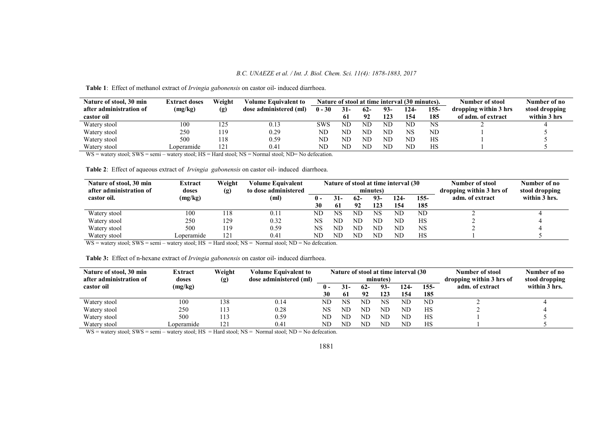Nature of stool, 30 min after administration of castor oil<br>Watery stool Extract doses (mg/kg) Weight (g) Volume Equivalent to dose administered (ml) Nature of stool at time interval  $(30 \text{ minutes})$ .<br>  $0-30$   $31-62-93-124-155-$  dropping within 3 b dropping within 3 hrs of adm. of extract  $\frac{2}{2}$ Number of no stool dropping within  $\frac{3 \text{ hrs}}{4}$  $0 - 30$  $\frac{61}{ND}$ 62-  $\frac{92}{ND}$ 93-  $\frac{123}{ND}$ 124-  $\frac{154}{ND}$ 155-  $\frac{185}{NS}$ Watery stool 100 125 0.13 SWS ND ND ND ND NS 2 4 Watery stool 250 119 0.29 ND ND ND ND NS ND 1 5 Watery stool Watery stool 500 Loperamide 118 121 0.59 0.41 ND ND ND ND ND ND ND ND ND ND HS HS 1 1 5 5

Table 1: Effect of methanol extract of *Irvingia gabonensis* on castor oil- induced diarrhoea.

WS = watery stool; SWS = semi – watery stool; HS = Hard stool; NS = Normal stool; ND= No defecation.

Table 2: Effect of aqueous extract of *Irvingia gabonensis* on castor oil- induced diarrhoea.

| Nature of stool, 30 min<br>after administration of | Extract<br>doses | Weight<br>(g) | Volume Equivalent<br>to dose administered | Nature of stool at time interval (30<br>minutes) |     |             |              |                 |             | Number of stool<br>dropping within 3 hrs of | Number of no<br>stool dropping |
|----------------------------------------------------|------------------|---------------|-------------------------------------------|--------------------------------------------------|-----|-------------|--------------|-----------------|-------------|---------------------------------------------|--------------------------------|
| castor oil.                                        | (mg/kg)          |               | (ml)                                      | 0 -<br>30                                        | 61  | $62-$<br>92 | $93-$<br>123 | 124-<br>154     | 155-<br>185 | adm. of extract                             | within 3 hrs.                  |
| Watery stool                                       | 100              | 118           | 0.11                                      | ND                                               | NS  | ND          | NS           | ND              | ND          |                                             |                                |
| Watery stool                                       | 250              | 129           | 0.32                                      | NS                                               | NΓ. | ND          | ND           | ND              | HS          |                                             |                                |
| Watery stool                                       | 500              | 119           | 0.59                                      | NS                                               | NΓ. | ND          | NE           | ND <sub>1</sub> | NS          |                                             |                                |
| Watery stool                                       | Loperamide       | 121           | 0.41                                      | ND                                               | NΓ. | ND          | ND           | $_{\rm ND}$     | HS          |                                             |                                |

WS = watery stool; SWS = semi – watery stool; HS = Hard stool; NS = Normal stool; ND = No defecation.

Table 3: Effect of n-hexane extract of *Irvingia gabonensis* on castor oil- induced diarrhoea.

| Nature of stool, 30 min<br>after administration of | Extract<br>doses | Weight<br>(g) | <b>Volume Equivalent to</b><br>dose administered (ml) | Nature of stool at time interval (30<br>minutes) |        |       |     |      |        | Number of stool<br>dropping within 3 hrs of | Number of no<br>stool dropping |
|----------------------------------------------------|------------------|---------------|-------------------------------------------------------|--------------------------------------------------|--------|-------|-----|------|--------|---------------------------------------------|--------------------------------|
| castor oil                                         | (mg/kg)          |               |                                                       |                                                  | $31 -$ | $62-$ | 93- | 124- | $155-$ | adm. of extract                             | within 3 hrs.                  |
|                                                    |                  |               |                                                       | 30                                               | 61     | 92    | 123 | 154  | 185    |                                             |                                |
| Watery stool                                       | 100              | 138           | 0.14                                                  | ND                                               | NS     | ND    | NS  | ND   | ND     |                                             |                                |
| Watery stool                                       | 250              |               | 0.28                                                  | NS                                               | ND     | ND    | ND  | ND   | HS     |                                             |                                |
| Watery stool                                       | 500              | 113           | 0.59                                                  | ND                                               | ND     | ND    | ND  | ND   | HS     |                                             |                                |
| Watery stool                                       | ∟operamıde       | 121           | 0.41                                                  | ND                                               | ND     | ND    | ND  | ND   | HS     |                                             |                                |

WS = watery stool; SWS = semi – watery stool; HS = Hard stool; NS = Normal stool; ND = No defecation.

#### 1881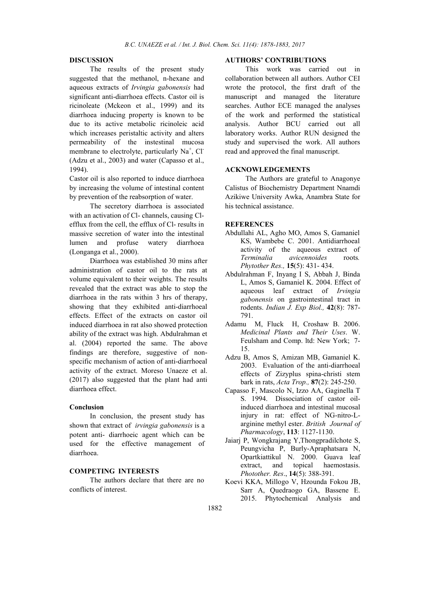## DISCUSSION

The results of the present study suggested that the methanol, n-hexane and aqueous extracts of *Irvingia gabonensis* had significant anti-diarrhoea effects. Castor oil is ricinoleate (Mckeon et al., 1999) and its diarrhoea inducing property is known to be due to its active metabolic ricinoleic acid which increases peristaltic activity and alters permeability of the instestinal mucosa membrane to electrolyte, particularly Na<sup>+</sup>, Cl<sup>-</sup> (Adzu et al., 2003) and water (Capasso et al., 1994).

Castor oil is also reported to induce diarrhoea by increasing the volume of intestinal content by prevention of the reabsorption of water.

The secretory diarrhoea is associated with an activation of Cl- channels, causing Clefflux from the cell, the efflux of Cl- results in massive secretion of water into the intestinal lumen and profuse watery diarrhoea (Longanga et al., 2000).

Diarrhoea was established 30 mins after administration of castor oil to the rats at volume equivalent to their weights. The results revealed that the extract was able to stop the diarrhoea in the rats within 3 hrs of therapy, showing that they exhibited anti-diarrhoeal effects. Effect of the extracts on castor oil induced diarrhoea in rat also showed protection ability of the extract was high. Abdulrahman et al. (2004) reported the same. The above findings are therefore, suggestive of nonspecific mechanism of action of anti-diarrhoeal activity of the extract. Moreso Unaeze et al. (2017) also suggested that the plant had anti diarrhoea effect.

### Conclusion

In conclusion, the present study has shown that extract of *irvingia gabonensis* is a potent anti- diarrhoeic agent which can be used for the effective management of diarrhoea.

# COMPETING INTERESTS

The authors declare that there are no conflicts of interest.

#### AUTHORS' CONTRIBUTIONS

This work was carried out in collaboration between all authors. Author CEI wrote the protocol, the first draft of the manuscript and managed the literature searches. Author ECE managed the analyses of the work and performed the statistical analysis. Author BCU carried out all laboratory works. Author RUN designed the study and supervised the work. All authors read and approved the final manuscript.

# ACKNOWLEDGEMENTS

The Authors are grateful to Anagonye Calistus of Biochemistry Department Nnamdi Azikiwe University Awka, Anambra State for his technical assistance.

### **REFERENCES**

- Abdullahi AL, Agho MO, Amos S, Gamaniel KS, Wambebe C. 2001. Antidiarrhoeal activity of the aqueous extract of *Terminalia avicennoides* roots*. Phytother Res.,* 15(5): 431- 434.
- Abdulrahman F, Inyang I S, Abbah J, Binda L, Amos S, Gamaniel K. 2004. Effect of aqueous leaf extract of *Irvingia gabonensis* on gastrointestinal tract in rodents. *Indian J. Exp Biol.,* 42(8): 787- 791.
- Adamu M, Fluck H, Croshaw B. 2006. *Medicinal Plants and Their Uses*. W. Feulsham and Comp. ltd: New York; 7- 15.
- Adzu B, Amos S, Amizan MB, Gamaniel K. 2003. Evaluation of the anti-diarrhoeal effects of Zizyplus spina-christi stem bark in rats, *Acta Trop.,* 87(2): 245-250.
- Capasso F, Mascolo N, Izzo AA, Gaginella T S. 1994. Dissociation of castor oilinduced diarrhoea and intestinal mucosal injury in rat: effect of NG-nitro-Larginine methyl ester. *British Journal of Pharmacology*, 113: 1127-1130.
- Jaiarj P, Wongkrajang Y,Thongpradilchote S, Peungvicha P, Burly-Apraphatsara N, Opartkiattikul N. 2000. Guava leaf extract, and topical haemostasis. *Photother. Res*., 14(5): 388-391.
- Koevi KKA, Millogo V, Hzounda Fokou JB, Sarr A, Quedraogo GA, Bassene E. 2015. Phytochemical Analysis and